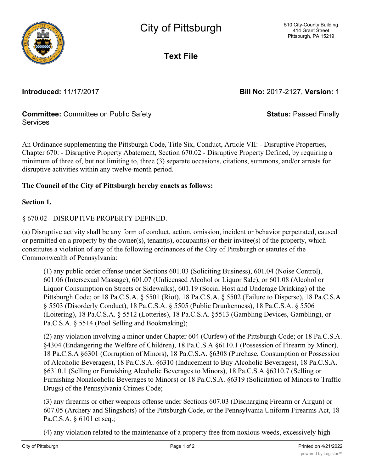

**Text File**

**Introduced:** 11/17/2017 **Bill No:** 2017-2127, **Version:** 1

**Status:** Passed Finally

## **Committee:** Committee on Public Safety Services

An Ordinance supplementing the Pittsburgh Code, Title Six, Conduct, Article VII: - Disruptive Properties, Chapter 670: - Disruptive Property Abatement, Section 670.02 - Disruptive Property Defined, by requiring a minimum of three of, but not limiting to, three (3) separate occasions, citations, summons, and/or arrests for disruptive activities within any twelve-month period.

## **The Council of the City of Pittsburgh hereby enacts as follows:**

**Section 1.**

## § 670.02 - DISRUPTIVE PROPERTY DEFINED.

(a) Disruptive activity shall be any form of conduct, action, omission, incident or behavior perpetrated, caused or permitted on a property by the owner(s), tenant(s), occupant(s) or their invitee(s) of the property, which constitutes a violation of any of the following ordinances of the City of Pittsburgh or statutes of the Commonwealth of Pennsylvania:

(1) any public order offense under Sections 601.03 (Soliciting Business), 601.04 (Noise Control), 601.06 (Intersexual Massage), 601.07 (Unlicensed Alcohol or Liquor Sale), or 601.08 (Alcohol or Liquor Consumption on Streets or Sidewalks), 601.19 (Social Host and Underage Drinking) of the Pittsburgh Code; or 18 Pa.C.S.A. § 5501 (Riot), 18 Pa.C.S.A. § 5502 (Failure to Disperse), 18 Pa.C.S.A § 5503 (Disorderly Conduct), 18 Pa.C.S.A. § 5505 (Public Drunkenness), 18 Pa.C.S.A. § 5506 (Loitering), 18 Pa.C.S.A. § 5512 (Lotteries), 18 Pa.C.S.A. §5513 (Gambling Devices, Gambling), or Pa.C.S.A. § 5514 (Pool Selling and Bookmaking);

(2) any violation involving a minor under Chapter 604 (Curfew) of the Pittsburgh Code; or 18 Pa.C.S.A. §4304 (Endangering the Welfare of Children), 18 Pa.C.S.A §6110.1 (Possession of Firearm by Minor), 18 Pa.C.S.A §6301 (Corruption of Minors), 18 Pa.C.S.A. §6308 (Purchase, Consumption or Possession of Alcoholic Beverages), 18 Pa.C.S.A. §6310 (Inducement to Buy Alcoholic Beverages), 18 Pa.C.S.A. §6310.1 (Selling or Furnishing Alcoholic Beverages to Minors), 18 Pa.C.S.A §6310.7 (Selling or Furnishing Nonalcoholic Beverages to Minors) or 18 Pa.C.S.A. §6319 (Solicitation of Minors to Traffic Drugs) of the Pennsylvania Crimes Code;

(3) any firearms or other weapons offense under Sections 607.03 (Discharging Firearm or Airgun) or 607.05 (Archery and Slingshots) of the Pittsburgh Code, or the Pennsylvania Uniform Firearms Act, 18 Pa.C.S.A. § 6101 et seq.;

(4) any violation related to the maintenance of a property free from noxious weeds, excessively high